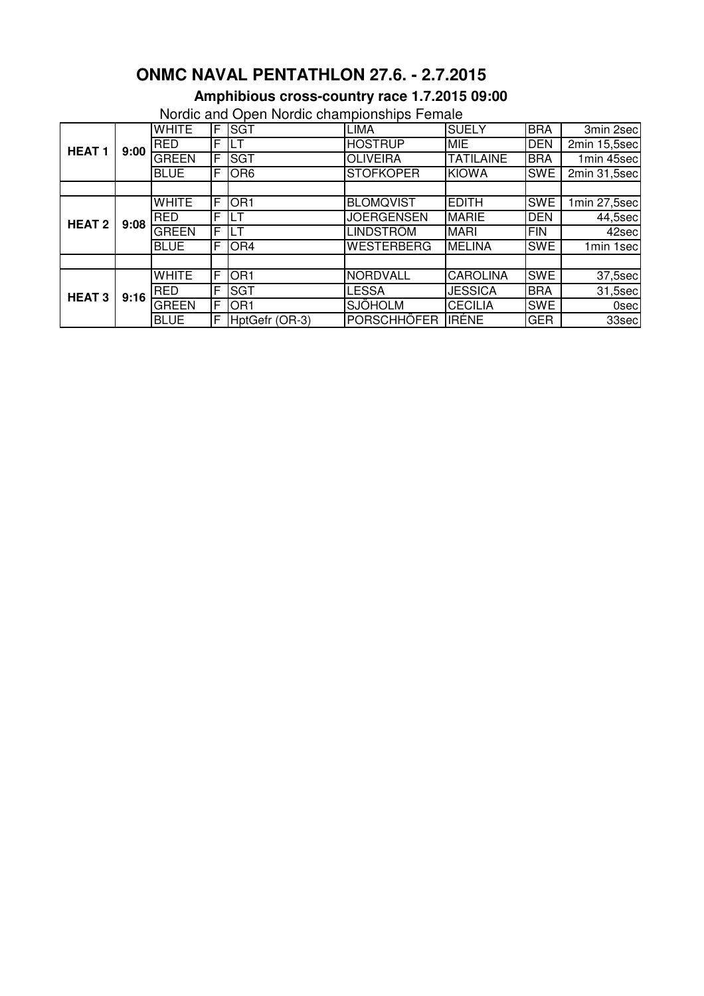## **ONMC NAVAL PENTATHLON 27.6. - 2.7.2015**

## **Amphibious cross-country race 1.7.2015 09:00**

Nordic and Open Nordic championships Female

| <u>relate and Open relate onalipionempo i omale</u> |      |              |    |                 |                    |                  |            |                            |  |
|-----------------------------------------------------|------|--------------|----|-----------------|--------------------|------------------|------------|----------------------------|--|
| <b>HEAT1</b>                                        | 9:00 | <b>WHITE</b> | F. | <b>SGT</b>      | <b>LIMA</b>        | <b>SUELY</b>     | <b>BRA</b> | 3min 2sec                  |  |
|                                                     |      | <b>RED</b>   | F  | LT              | <b>HOSTRUP</b>     | <b>MIE</b>       | <b>DEN</b> | 2min 15,5sec               |  |
|                                                     |      | <b>GREEN</b> | F  | <b>SGT</b>      | <b>OLIVEIRA</b>    | <b>TATILAINE</b> | <b>BRA</b> | 1min 45sec                 |  |
|                                                     |      | <b>BLUE</b>  | F  | OR <sub>6</sub> | <b>STOFKOPER</b>   | <b>KIOWA</b>     | <b>SWE</b> | 2min 31,5sec               |  |
|                                                     |      |              |    |                 |                    |                  |            |                            |  |
| <b>HEAT 2</b>                                       | 9:08 | <b>WHITE</b> | F  | OR <sub>1</sub> | <b>BLOMQVIST</b>   | <b>EDITH</b>     | <b>SWE</b> | $\overline{1}$ min 27,5sec |  |
|                                                     |      | <b>RED</b>   | F  | LТ              | <b>JOERGENSEN</b>  | <b>MARIE</b>     | <b>DEN</b> | 44,5sec                    |  |
|                                                     |      | <b>GREEN</b> | F  | LT              | LINDSTRÖM          | <b>MARI</b>      | <b>FIN</b> | 42sec                      |  |
|                                                     |      | <b>BLUE</b>  | F  | OR <sub>4</sub> | <b>WESTERBERG</b>  | <b>MELINA</b>    | <b>SWE</b> | 1min 1sec                  |  |
|                                                     |      |              |    |                 |                    |                  |            |                            |  |
| <b>HEAT 3</b>                                       | 9:16 | <b>WHITE</b> | F  | OR <sub>1</sub> | <b>NORDVALL</b>    | <b>CAROLINA</b>  | <b>SWE</b> | 37,5sec                    |  |
|                                                     |      | <b>RED</b>   | F  | <b>SGT</b>      | LESSA              | <b>JESSICA</b>   | <b>BRA</b> | $31,5$ sec                 |  |
|                                                     |      | <b>GREEN</b> | F  | OR <sub>1</sub> | <b>SJÖHOLM</b>     | <b>CECILIA</b>   | <b>SWE</b> | 0sec                       |  |
|                                                     |      | <b>BLUE</b>  | F  | HptGefr (OR-3)  | <b>PORSCHHÖFER</b> | <b>IRÉNE</b>     | <b>GER</b> | 33sec                      |  |